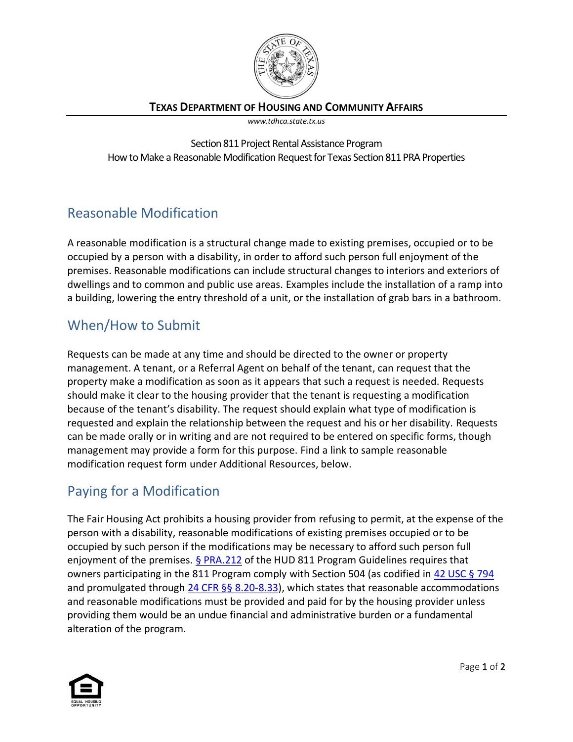

#### **TEXAS DEPARTMENT OF HOUSING AND COMMUNITY AFFAIRS**

*www.tdhca.state.tx.us*

Section 811 Project Rental Assistance Program How to Make a Reasonable Modification Request for Texas Section 811 PRA Properties

# Reasonable Modification

A reasonable modification is a structural change made to existing premises, occupied or to be occupied by a person with a disability, in order to afford such person full enjoyment of the premises. Reasonable modifications can include structural changes to interiors and exteriors of dwellings and to common and public use areas. Examples include the installation of a ramp into a building, lowering the entry threshold of a unit, or the installation of grab bars in a bathroom.

## When/How to Submit

Requests can be made at any time and should be directed to the owner or property management. A tenant, or a Referral Agent on behalf of the tenant, can request that the property make a modification as soon as it appears that such a request is needed. Requests should make it clear to the housing provider that the tenant is requesting a modification because of the tenant's disability. The request should explain what type of modification is requested and explain the relationship between the request and his or her disability. Requests can be made orally or in writing and are not required to be entered on specific forms, though management may provide a form for this purpose. Find a link to sample reasonable modification request form under Additional Resources, below.

# Paying for a Modification

The Fair Housing Act prohibits a housing provider from refusing to permit, at the expense of the person with a disability, reasonable modifications of existing premises occupied or to be occupied by such person if the modifications may be necessary to afford such person full enjoyment of the premises. [§ PRA.212](https://www.tdhca.state.tx.us/section-811-pra/docs/CoopAgrmnt-Ex5-ProgramSelectionGuidelines.pdf) of the HUD 811 Program Guidelines requires that owners participating in the 811 Program comply with Section 504 (as codified in [42 USC § 794](https://www.govinfo.gov/content/pkg/USCODE-2010-title29/pdf/USCODE-2010-title29-chap16-subchapV-sec794.pdf) and promulgated through [24 CFR §§ 8.20-8.33\)](https://www.ecfr.gov/cgi-bin/text-idx?rgn=div5&node=24:1.1.1.1.8#sp24.1.8.c), which states that reasonable accommodations and reasonable modifications must be provided and paid for by the housing provider unless providing them would be an undue financial and administrative burden or a fundamental alteration of the program.